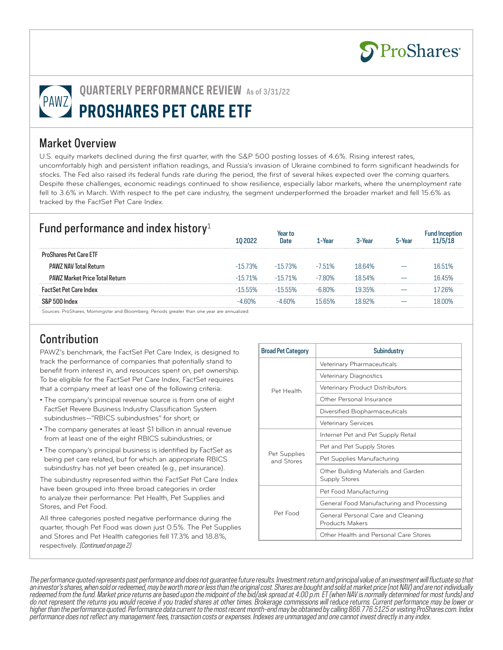

# **QUARTERLY PERFORMANCE REVIEW** As of 3/31/22 **PROSHARES PET CARE ETF**

#### Market Overview

U.S. equity markets declined during the first quarter, with the S&P 500 posting losses of 4.6%. Rising interest rates, uncomfortably high and persistent inflation readings, and Russia's invasion of Ukraine combined to form significant headwinds for stocks. The Fed also raised its federal funds rate during the period, the first of several hikes expected over the coming quarters. Despite these challenges, economic readings continued to show resilience, especially labor markets, where the unemployment rate fell to 3.6% in March. With respect to the pet care industry, the segment underperformed the broader market and fell 15.6% as tracked by the FactSet Pet Care Index.

## Fund performance and index history<sup>1</sup>

| <b>TWIND PUTTOM INCORPORATION</b>     |            | Date       | 1-Year    | 3-Year | 5-Year |         |
|---------------------------------------|------------|------------|-----------|--------|--------|---------|
| <b>ProShares Pet Care ETF</b>         |            |            |           |        |        |         |
| <b>PAWZ NAV Total Return</b>          | $-15.73\%$ | -15 73%    | $-7.51\%$ | 1864%  |        | 16.51%  |
| <b>PAWZ Market Price Total Return</b> | $-1571%$   | $-1571%$   | $-7.80%$  | 18.54% |        | 1645%   |
| <b>FactSet Pet Care Index</b>         | $-15.55\%$ | $-15.55\%$ | $-6.80\%$ | 1935%  |        | 17.26%  |
| S&P 500 Index                         | -4 60%     | 60%        | 15 65%    |        |        | 1 ጸ በበ% |
|                                       |            |            |           |        |        |         |

Sources: ProShares, Morningstar and Bloomberg. Periods greater than one year are annualized.

# Contribution

PAWZ's benchmark, the FactSet Pet Care Index, is designed to track the performance of companies that potentially stand to benefit from interest in, and resources spent on, pet ownership. To be eligible for the FactSet Pet Care Index, FactSet requires that a company meet at least one of the following criteria:

- The company's principal revenue source is from one of eight FactSet Revere Business Industry Classification System subindustries—"RBICS subindustries" for short; or
- The company generates at least \$1 billion in annual revenue from at least one of the eight RBICS subindustries; or
- The company's principal business is identified by FactSet as being pet care related, but for which an appropriate RBICS subindustry has not yet been created (e.g., pet insurance).

The subindustry represented within the FactSet Pet Care Index have been grouped into three broad categories in order to analyze their performance: Pet Health, Pet Supplies and Stores, and Pet Food.

All three categories posted negative performance during the quarter, though Pet Food was down just 0.5%. The Pet Supplies and Stores and Pet Health categories fell 17.3% and 18.8%, respectively. (Continued on page 2)

| <b>Broad Pet Category</b>  | Subindustry                                                  |  |  |  |  |
|----------------------------|--------------------------------------------------------------|--|--|--|--|
| Pet Health                 | Veterinary Pharmaceuticals                                   |  |  |  |  |
|                            | <b>Veterinary Diagnostics</b>                                |  |  |  |  |
|                            | Veterinary Product Distributors                              |  |  |  |  |
|                            | Other Personal Insurance                                     |  |  |  |  |
|                            | Diversified Biopharmaceuticals                               |  |  |  |  |
|                            | <b>Veterinary Services</b>                                   |  |  |  |  |
| Pet Supplies<br>and Stores | Internet Pet and Pet Supply Retail                           |  |  |  |  |
|                            | Pet and Pet Supply Stores                                    |  |  |  |  |
|                            | Pet Supplies Manufacturing                                   |  |  |  |  |
|                            | Other Building Materials and Garden<br><b>Supply Stores</b>  |  |  |  |  |
| Pet Food                   | Pet Food Manufacturing                                       |  |  |  |  |
|                            | General Food Manufacturing and Processing                    |  |  |  |  |
|                            | General Personal Care and Cleaning<br><b>Products Makers</b> |  |  |  |  |
|                            | Other Health and Personal Care Stores                        |  |  |  |  |

The performance quoted represents past performance and does not guarantee future results. Investment return and principal value of an investment will fluctuate so that an investor's shares, when sold or redeemed, may be worth more or less than the original cost. Shares are bought and sold at market price (not NAV) and are not individually redeemed from the fund. Market price returns are based upon the midpoint of the bid/ask spread at 4:00 p.m. ET (when NAV is normally determined for most funds) and do not represent the returns you would receive if you traded shares at other times. Brokerage commissions will reduce returns. Current performance may be lower or higher than the performance quoted. Performance data current to the most recent month-end may be obtained by calling 866.776.5125 or visiting ProShares.com. Index performance does not reflect any management fees, transaction costs or expenses. Indexes are unmanaged and one cannot invest directly in any index.